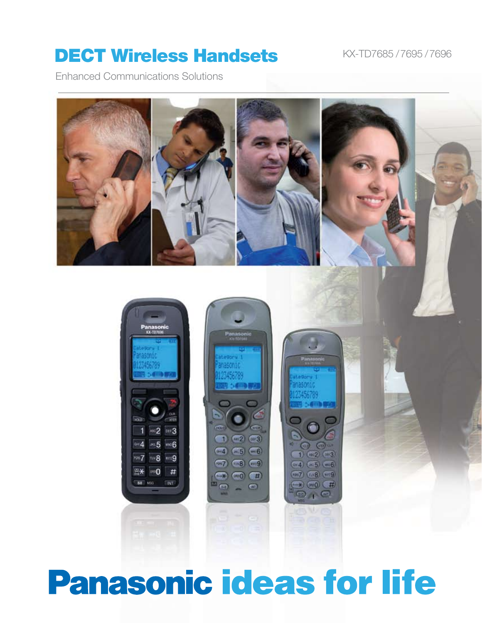# DECT Wireless Handsets KX-TD7685/7695/7696

Enhanced Communications Solutions





# **Panasonic ideas for life**

 $= 0$ 

 $\partial$   $\Theta$  or

 $1)$  (ac2) (m3)

 $(-4)(-5)$   $-6$ 

 $(-7)$  ( $-8$ ) ( $-9$ )

 $\rightarrow$ 

 $\circledcirc$ **OVC**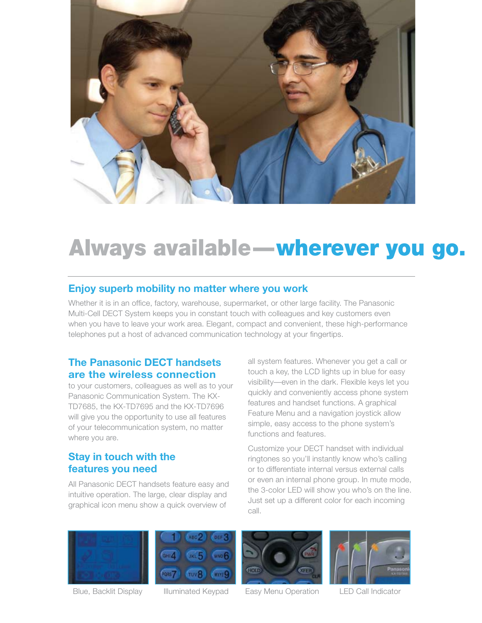

# Always available—wherever you go.

## **Enjoy superb mobility no matter where you work**

Whether it is in an office, factory, warehouse, supermarket, or other large facility. The Panasonic Multi-Cell DECT System keeps you in constant touch with colleagues and key customers even when you have to leave your work area. Elegant, compact and convenient, these high-performance telephones put a host of advanced communication technology at your fingertips.

### **The Panasonic DECT handsets are the wireless connection**

to your customers, colleagues as well as to your Panasonic Communication System. The KX-TD7685, the KX-TD7695 and the KX-TD7696 will give you the opportunity to use all features of your telecommunication system, no matter where you are.

# **Stay in touch with the features you need**

All Panasonic DECT handsets feature easy and intuitive operation. The large, clear display and graphical icon menu show a quick overview of

all system features. Whenever you get a call or touch a key, the LCD lights up in blue for easy visibility—even in the dark. Flexible keys let you quickly and conveniently access phone system features and handset functions. A graphical Feature Menu and a navigation joystick allow simple, easy access to the phone system's functions and features.

Customize your DECT handset with individual ringtones so you'll instantly know who's calling or to differentiate internal versus external calls or even an internal phone group. In mute mode, the 3-color LED will show you who's on the line. Just set up a different color for each incoming call.







Blue, Backlit Display Illuminated Keypad Easy Menu Operation LED Call Indicator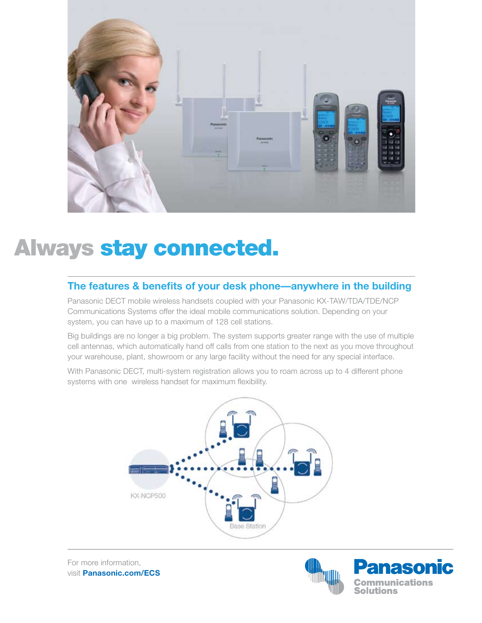

# Always stay connected.

### **The features & benefits of your desk phone—anywhere in the building**

Panasonic DECT mobile wireless handsets coupled with your Panasonic KX-TAW/TDA/TDE/NCP Communications Systems offer the ideal mobile communications solution. Depending on your system, you can have up to a maximum of 128 cell stations.

Big buildings are no longer a big problem. The system supports greater range with the use of multiple cell antennas, which automatically hand off calls from one station to the next as you move throughout your warehouse, plant, showroom or any large facility without the need for any special interface.

With Panasonic DECT, multi-system registration allows you to roam across up to 4 different phone systems with one wireless handset for maximum flexibility.



For more information, visit **Panasonic.com/ECS**

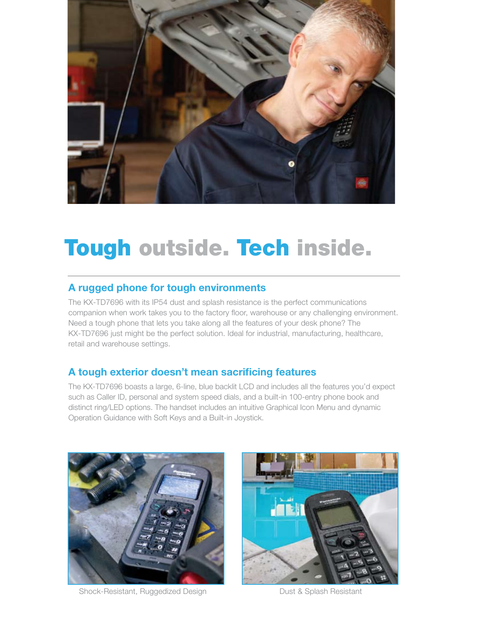

# Tough outside. Tech inside.

# **A rugged phone for tough environments**

The KX-TD7696 with its IP54 dust and splash resistance is the perfect communications companion when work takes you to the factory floor, warehouse or any challenging environment. Need a tough phone that lets you take along all the features of your desk phone? The KX-TD7696 just might be the perfect solution. Ideal for industrial, manufacturing, healthcare, retail and warehouse settings.

# **A tough exterior doesn't mean sacrificing features**

The KX-TD7696 boasts a large, 6-line, blue backlit LCD and includes all the features you'd expect such as Caller ID, personal and system speed dials, and a built-in 100-entry phone book and distinct ring/LED options. The handset includes an intuitive Graphical Icon Menu and dynamic Operation Guidance with Soft Keys and a Built-in Joystick.



Shock-Resistant, Ruggedized Design **Dust & Splash Resistant** 

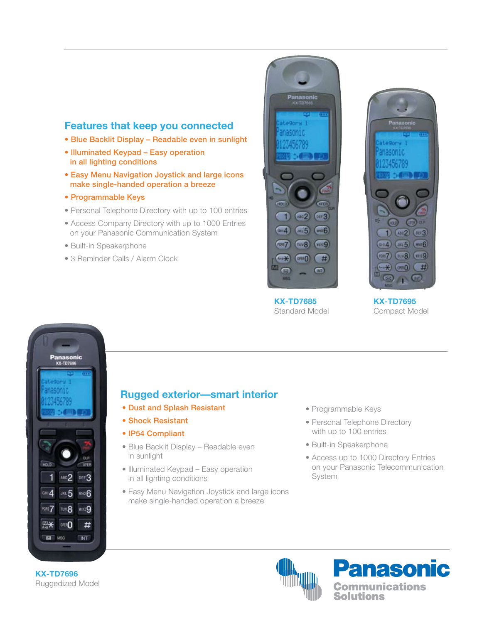### **Features that keep you connected**

- Blue Backlit Display Readable even in sunlight
- Illuminated Keypad Easy operation in all lighting conditions
- Easy Menu Navigation Joystick and large icons make single-handed operation a breeze
- Programmable Keys
- Personal Telephone Directory with up to 100 entries
- Access Company Directory with up to 1000 Entries on your Panasonic Communication System
- Built-in Speakerphone
- 3 Reminder Calls / Alarm Clock





**KX-TD7685** Standard Model

**KX-TD7695** Compact Model



### **Rugged exterior—smart interior**

- Dust and Splash Resistant
- Shock Resistant
- IP54 Compliant
- Blue Backlit Display Readable even in sunlight
- Illuminated Keypad Easy operation in all lighting conditions
- Easy Menu Navigation Joystick and large icons make single-handed operation a breeze
- Programmable Keys
- Personal Telephone Directory with up to 100 entries
- Built-in Speakerphone
- Access up to 1000 Directory Entries on your Panasonic Telecommunication System





**KX-TD7696** Ruggedized Model